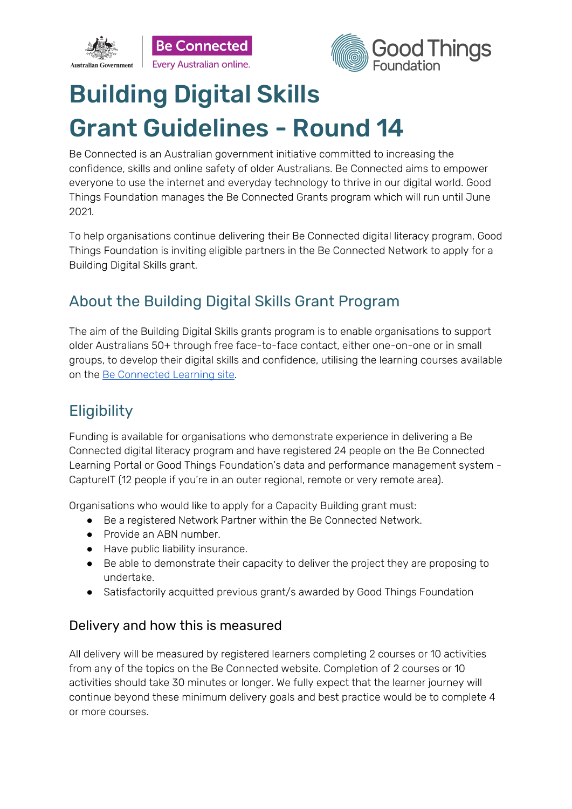



# Building Digital Skills Grant Guidelines - Round 14

Be Connected is an Australian government initiative committed to increasing the confidence, skills and online safety of older Australians. Be Connected aims to empower everyone to use the internet and everyday technology to thrive in our digital world. Good Things Foundation manages the Be Connected Grants program which will run until June 2021.

To help organisations continue delivering their Be Connected digital literacy program, Good Things Foundation is inviting eligible partners in the Be Connected Network to apply for a Building Digital Skills grant.

# About the Building Digital Skills Grant Program

The aim of the Building Digital Skills grants program is to enable organisations to support older Australians 50+ through free face-to-face contact, either one-on-one or in small groups, to develop their digital skills and confidence, utilising the learning courses available on the Be [Connected](https://beconnected.esafety.gov.au/topic-library) Learning site.

# **Eligibility**

Funding is available for organisations who demonstrate experience in delivering a Be Connected digital literacy program and have registered 24 people on the Be Connected Learning Portal or Good Things Foundation's data and performance management system - CaptureIT (12 people if you're in an outer regional, remote or very remote area).

Organisations who would like to apply for a Capacity Building grant must:

- Be a registered Network Partner within the Be Connected Network.
- Provide an ABN number.
- Have public liability insurance.
- Be able to demonstrate their capacity to deliver the project they are proposing to undertake.
- Satisfactorily acquitted previous grant/s awarded by Good Things Foundation

### Delivery and how this is measured

All delivery will be measured by registered learners completing 2 courses or 10 activities from any of the topics on the Be Connected website. Completion of 2 courses or 10 activities should take 30 minutes or longer. We fully expect that the learner journey will continue beyond these minimum delivery goals and best practice would be to complete 4 or more courses.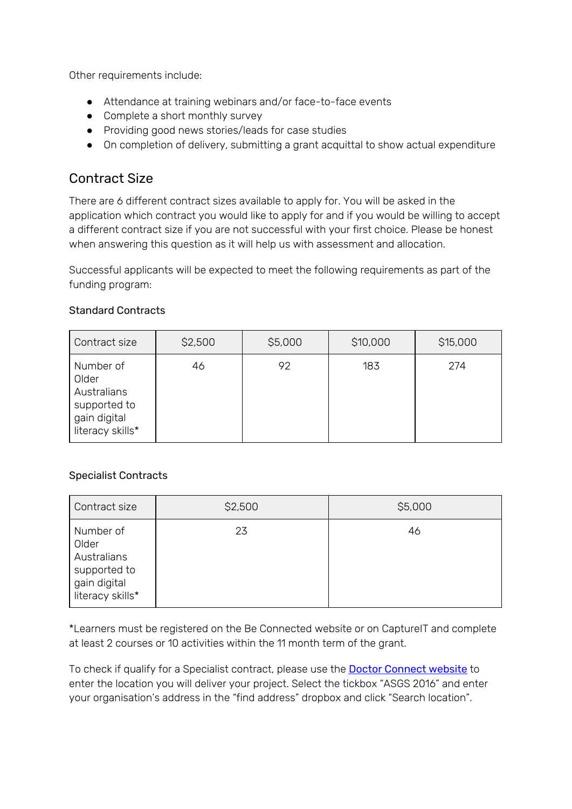Other requirements include:

- Attendance at training webinars and/or face-to-face events
- Complete a short monthly survey
- Providing good news stories/leads for case studies
- On completion of delivery, submitting a grant acquittal to show actual expenditure

### Contract Size

There are 6 different contract sizes available to apply for. You will be asked in the application which contract you would like to apply for and if you would be willing to accept a different contract size if you are not successful with your first choice. Please be honest when answering this question as it will help us with assessment and allocation.

Successful applicants will be expected to meet the following requirements as part of the funding program:

| Contract size                                                                         | \$2,500 | \$5,000 | \$10,000 | \$15,000 |
|---------------------------------------------------------------------------------------|---------|---------|----------|----------|
| Number of<br>Older<br>Australians<br>supported to<br>gain digital<br>literacy skills* | 46      | 92      | 183      | 274      |

#### Standard Contracts

### Specialist Contracts

| Contract size                                                                         | \$2,500 | \$5,000 |
|---------------------------------------------------------------------------------------|---------|---------|
| Number of<br>Older<br>Australians<br>supported to<br>gain digital<br>literacy skills* | 23      | 46      |

\*Learners must be registered on the Be Connected website or on CaptureIT and complete at least 2 courses or 10 activities within the 11 month term of the grant.

To check if qualify for a Specialist contract, please use the **Doctor [Connect](https://www.health.gov.au/resources/apps-and-tools/health-workforce-locator/health-workforce-locator) website** to enter the location you will deliver your project. Select the tickbox "ASGS 2016" and enter your organisation's address in the "find address" dropbox and click "Search location".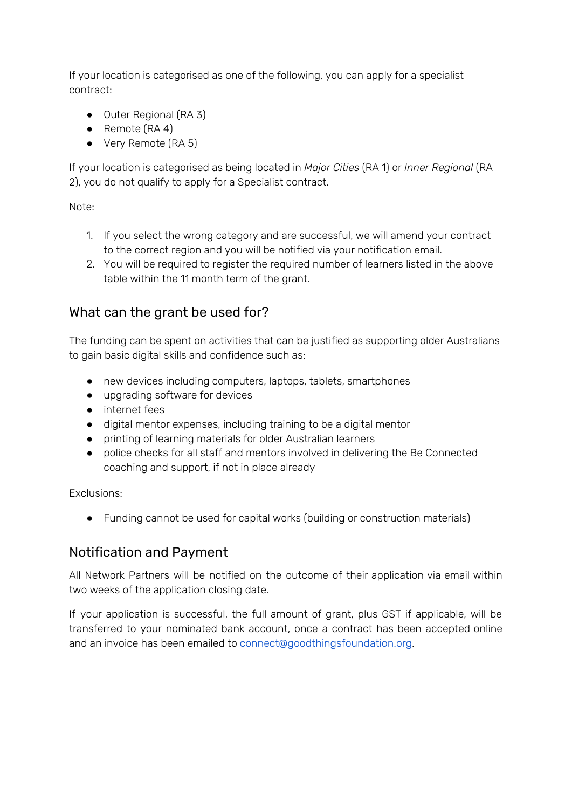If your location is categorised as one of the following, you can apply for a specialist contract:

- Outer Regional (RA 3)
- Remote (RA 4)
- Very Remote (RA 5)

If your location is categorised as being located in *Major Cities* (RA 1) or *Inner Regional* (RA 2), you do not qualify to apply for a Specialist contract.

Note:

- 1. If you select the wrong category and are successful, we will amend your contract to the correct region and you will be notified via your notification email.
- 2. You will be required to register the required number of learners listed in the above table within the 11 month term of the grant.

### What can the grant be used for?

The funding can be spent on activities that can be justified as supporting older Australians to gain basic digital skills and confidence such as:

- new devices including computers, laptops, tablets, smartphones
- upgrading software for devices
- internet fees
- digital mentor expenses, including training to be a digital mentor
- printing of learning materials for older Australian learners
- police checks for all staff and mentors involved in delivering the Be Connected coaching and support, if not in place already

Exclusions:

● Funding cannot be used for capital works (building or construction materials)

### Notification and Payment

All Network Partners will be notified on the outcome of their application via email within two weeks of the application closing date.

If your application is successful, the full amount of grant, plus GST if applicable, will be transferred to your nominated bank account, once a contract has been accepted online and an invoice has been emailed to [connect@goodthingsfoundation.org](mailto:connect@goodthingsfoundation.org).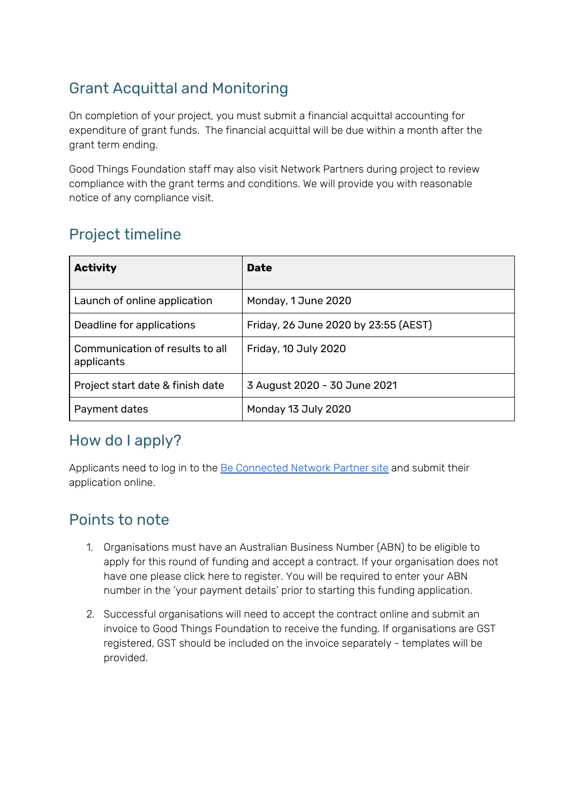# Grant Acquittal and Monitoring

On completion of your project, you must submit a financial acquittal accounting for expenditure of grant funds. The financial acquittal will be due within a month after the grant term ending.

Good Things Foundation staff may also visit Network Partners during project to review compliance with the grant terms and conditions. We will provide you with reasonable notice of any compliance visit.

# Project timeline

| <b>Activity</b>                               | <b>Date</b>                          |  |  |
|-----------------------------------------------|--------------------------------------|--|--|
| Launch of online application                  | Monday, 1 June 2020                  |  |  |
| Deadline for applications                     | Friday, 26 June 2020 by 23:55 (AEST) |  |  |
| Communication of results to all<br>applicants | Friday, 10 July 2020                 |  |  |
| Project start date & finish date              | 3 August 2020 - 30 June 2021         |  |  |
| Payment dates                                 | Monday 13 July 2020                  |  |  |

# How do I apply?

Applicants need to log in to the Be [Connected](https://www.beconnectednetwork.org.au/be-connected-network/apply-for-a-grant) Network Partner site and submit their application online.

# Points to note

- 1. Organisations must have an Australian Business Number (ABN) to be eligible to apply for this round of funding and accept a contract. If your organisation does not have one please click here to register. You will be required to enter your ABN number in the 'your payment details' prior to starting this funding application.
- 2. Successful organisations will need to accept the contract online and submit an invoice to Good Things Foundation to receive the funding. If organisations are GST registered, GST should be included on the invoice separately - templates will be provided.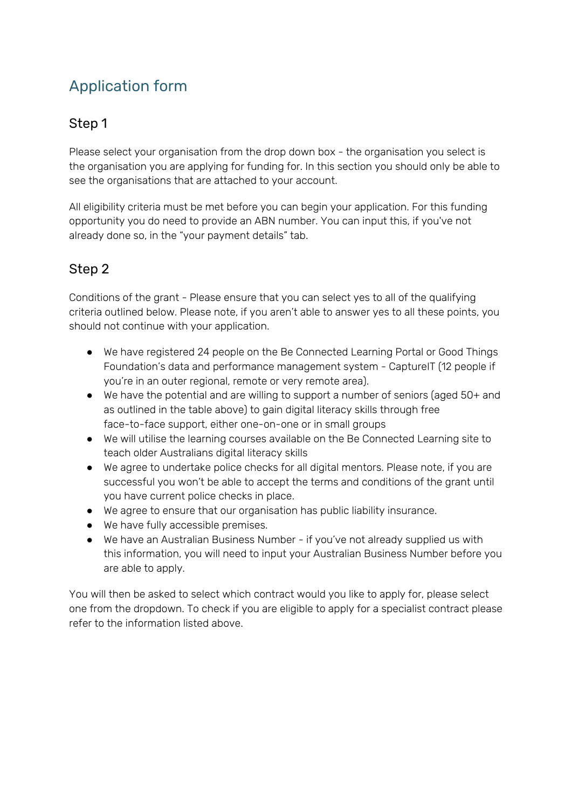# Application form

### Step 1

Please select your organisation from the drop down box - the organisation you select is the organisation you are applying for funding for. In this section you should only be able to see the organisations that are attached to your account.

All eligibility criteria must be met before you can begin your application. For this funding opportunity you do need to provide an ABN number. You can input this, if you've not already done so, in the "your payment details" tab.

### Step 2

Conditions of the grant - Please ensure that you can select yes to all of the qualifying criteria outlined below. Please note, if you aren't able to answer yes to all these points, you should not continue with your application.

- We have registered 24 people on the Be Connected Learning Portal or Good Things Foundation's data and performance management system - CaptureIT (12 people if you're in an outer regional, remote or very remote area).
- We have the potential and are willing to support a number of seniors (aged 50+ and as outlined in the table above) to gain digital literacy skills through free face-to-face support, either one-on-one or in small groups
- We will utilise the learning courses available on the Be Connected Learning site to teach older Australians digital literacy skills
- We agree to undertake police checks for all digital mentors. Please note, if you are successful you won't be able to accept the terms and conditions of the grant until you have current police checks in place.
- We agree to ensure that our organisation has public liability insurance.
- We have fully accessible premises.
- We have an Australian Business Number if you've not already supplied us with this information, you will need to input your Australian Business Number before you are able to apply.

You will then be asked to select which contract would you like to apply for, please select one from the dropdown. To check if you are eligible to apply for a specialist contract please refer to the information listed above.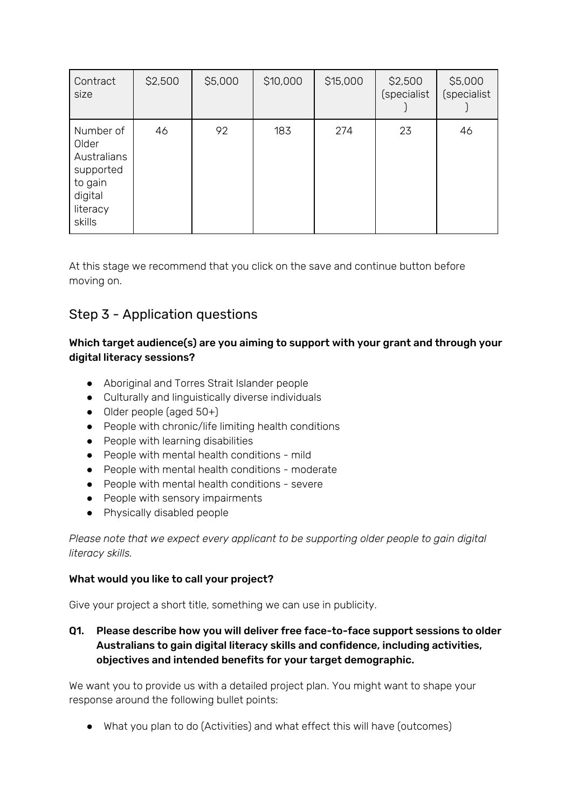| Contract<br>size                                                                           | \$2,500 | \$5,000 | \$10,000 | \$15,000 | \$2,500<br>(specialist | \$5,000<br>(specialist |
|--------------------------------------------------------------------------------------------|---------|---------|----------|----------|------------------------|------------------------|
| Number of<br>Older<br>Australians<br>supported<br>to gain<br>digital<br>literacy<br>skills | 46      | 92      | 183      | 274      | 23                     | 46                     |

At this stage we recommend that you click on the save and continue button before moving on.

### Step 3 - Application questions

#### Which target audience(s) are you aiming to support with your grant and through your digital literacy sessions?

- Aboriginal and Torres Strait Islander people
- Culturally and linguistically diverse individuals
- Older people (aged 50+)
- People with chronic/life limiting health conditions
- People with learning disabilities
- People with mental health conditions mild
- People with mental health conditions moderate
- People with mental health conditions severe
- People with sensory impairments
- Physically disabled people

*Please note that we expect every applicant to be supporting older people to gain digital literacy skills.*

#### What would you like to call your project?

Give your project a short title, something we can use in publicity.

Q1. Please describe how you will deliver free face-to-face support sessions to older Australians to gain digital literacy skills and confidence, including activities, objectives and intended benefits for your target demographic.

We want you to provide us with a detailed project plan. You might want to shape your response around the following bullet points:

● What you plan to do (Activities) and what effect this will have (outcomes)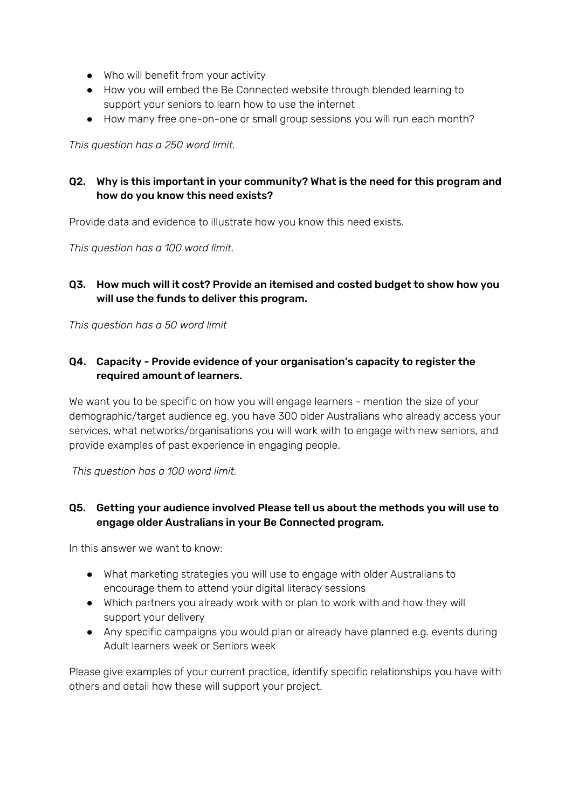- Who will benefit from your activity
- How you will embed the Be Connected website through blended learning to support your seniors to learn how to use the internet
- How many free one-on-one or small group sessions you will run each month?

*This question has a 250 word limit.*

### Q2. Why is this important in your community? What is the need for this program and how do you know this need exists?

Provide data and evidence to illustrate how you know this need exists.

*This question has a 100 word limit.*

#### Q3. How much will it cost? Provide an itemised and costed budget to show how you will use the funds to deliver this program.

*This question has a 50 word limit*

### Q4. Capacity - Provide evidence of your organisation's capacity to register the required amount of learners.

We want you to be specific on how you will engage learners - mention the size of your demographic/target audience eg. you have 300 older Australians who already access your services, what networks/organisations you will work with to engage with new seniors, and provide examples of past experience in engaging people.

*This question has a 100 word limit.*

### Q5. Getting your audience involved Please tell us about the methods you will use to engage older Australians in your Be Connected program.

In this answer we want to know:

- What marketing strategies you will use to engage with older Australians to encourage them to attend your digital literacy sessions
- Which partners you already work with or plan to work with and how they will support your delivery
- Any specific campaigns you would plan or already have planned e.g. events during Adult learners week or Seniors week

Please give examples of your current practice, identify specific relationships you have with others and detail how these will support your project.